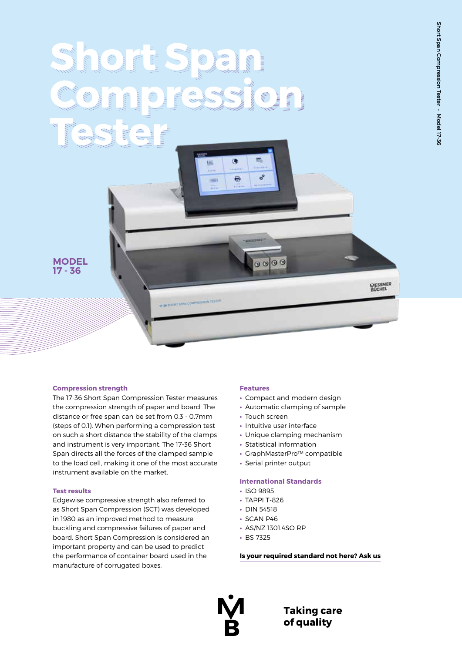MESSMER<br>BUCHEL

# **Short Span Compression Tester** œ 這



# **Compression strength**

The 17-36 Short Span Compression Tester measures the compression strength of paper and board. The distance or free span can be set from 0.3 - 0.7mm (steps of 0.1). When performing a compression test on such a short distance the stability of the clamps and instrument is very important. The 17-36 Short Span directs all the forces of the clamped sample to the load cell, making it one of the most accurate instrument available on the market.

## **Test results**

Edgewise compressive strength also referred to as Short Span Compression (SCT) was developed in 1980 as an improved method to measure buckling and compressive failures of paper and board. Short Span Compression is considered an important property and can be used to predict the performance of container board used in the manufacture of corrugated boxes.

#### **Features**

- **•** Compact and modern design
- **•** Automatic clamping of sample
- **•** Touch screen

o<sup>o</sup>

 $0000$ 

e

**CHE** 

**17.36 SHORT SPAN LOWING SIZEN TESTED** 

- **•** Intuitive user interface
- **•** Unique clamping mechanism
- **•** Statistical information
- **•** GraphMasterPro™ compatible
- **•** Serial printer output

## **International Standards**

- **•** ISO 9895
- **•** TAPPI T-826
- **•** DIN 54518
- **•** SCAN P46
- **•** AS/NZ 1301.4SO RP
- **•** BS 7325

**Is your required standard not here? Ask us**



**Taking care** of quality